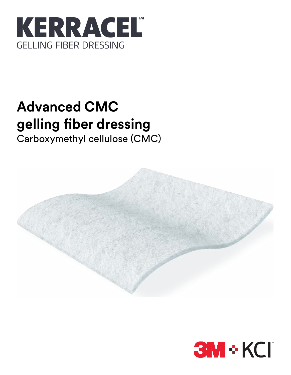

# **Advanced CMC gelling fiber dressing**

Carboxymethyl cellulose (CMC)



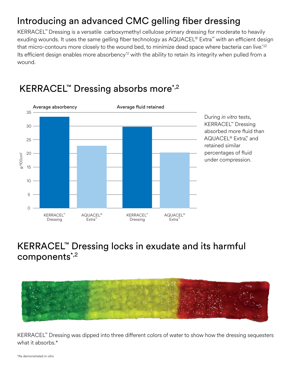### Introducing an advanced CMC gelling fiber dressing

KERRACEL™ Dressing is a versatile carboxymethyl cellulose primary dressing for moderate to heavily exuding wounds. It uses the same gelling fiber technology as AQUACEL® Extra™ with an efficient design that micro-contours more closely to the wound bed, to minimize dead space where bacteria can live.\*,12 Its efficient design enables more absorbency<sup>\*,2</sup> with the ability to retain its integrity when pulled from a wound.



### KERRACEL™ Dressing absorbs more<sup>\*,2</sup>

### KERRACEL™ Dressing locks in exudate and its harmful components\*,2



KERRACEL™ Dressing was dipped into three different colors of water to show how the dressing sequesters what it absorbs.\*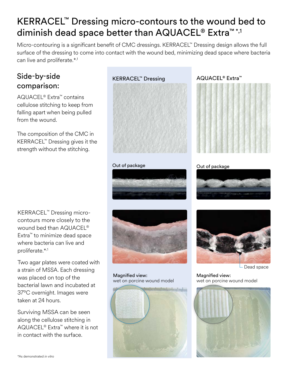## KERRACEL™ Dressing micro-contours to the wound bed to diminish dead space better than AQUACEL<sup>®</sup> Extra<sup>™\*,1</sup>

Micro-contouring is a significant benefit of CMC dressings. KERRACEL™ Dressing design allows the full surface of the dressing to come into contact with the wound bed, minimizing dead space where bacteria can live and proliferate.\*,1

### Side-by-side comparison:

AQUACEL® Extra™ contains cellulose stitching to keep from falling apart when being pulled from the wound.

The composition of the CMC in KERRACEL™ Dressing gives it the strength without the stitching.



### KERRACEL™ Dressing AQUACEL® Extra™



### Out of package **Out of package**



KERRACEL™ Dressing microcontours more closely to the wound bed than AQUACEL® Extra™ to minimize dead space where bacteria can live and proliferate.\*,1

Two agar plates were coated with a strain of MSSA. Each dressing was placed on top of the bacterial lawn and incubated at 37ºC overnight. Images were taken at 24 hours.

Surviving MSSA can be seen along the cellulose stitching in AQUACEL® Extra™ where it is not in contact with the surface.



Magnified view: wet on porcine wound model





Dead space

Magnified view: wet on porcine wound model